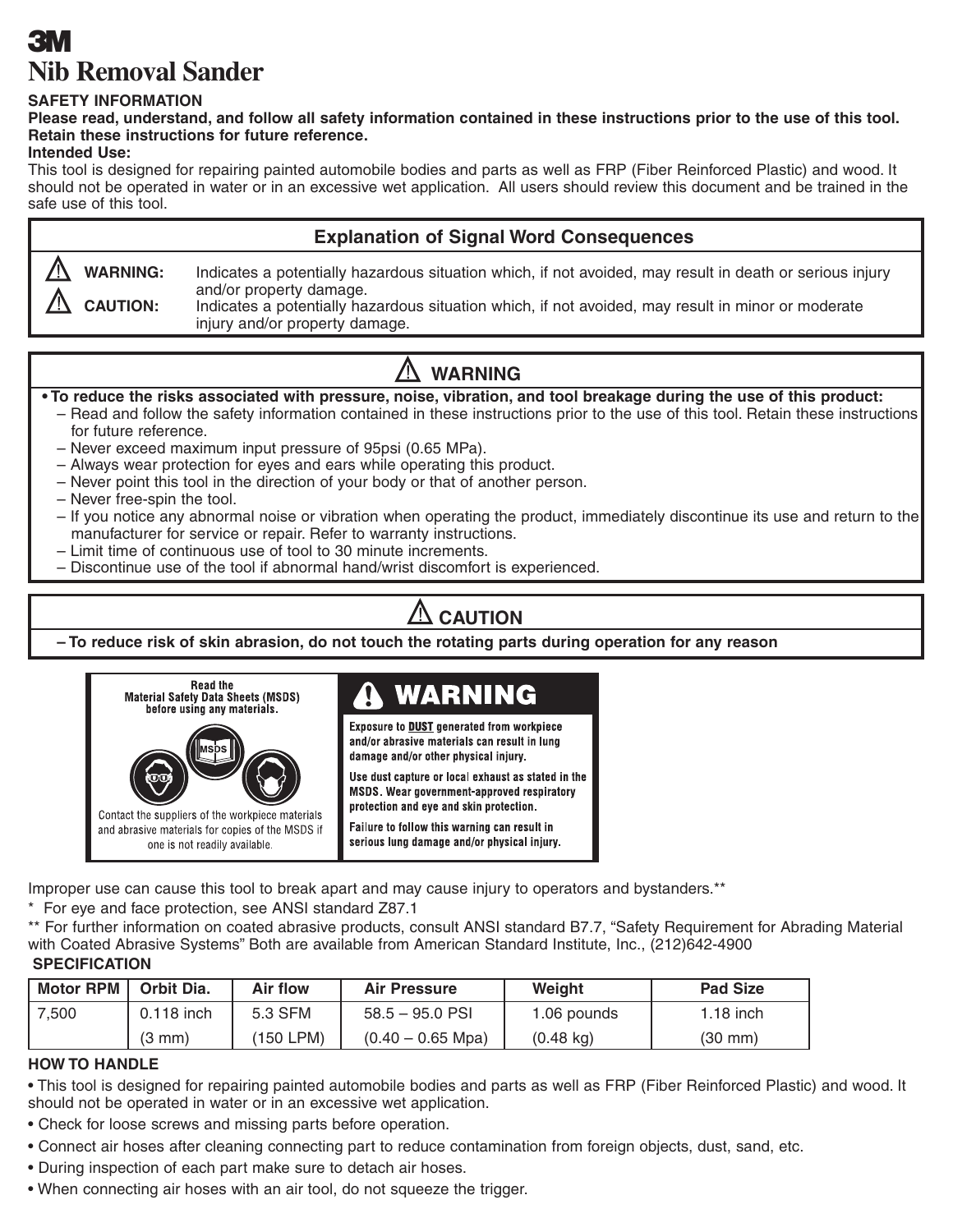# **3 Nib Removal Sander**

### **SAFETY INFORMATION**

**Please read, understand, and follow all safety information contained in these instructions prior to the use of this tool. Retain these instructions for future reference.**

## **Intended Use:**

This tool is designed for repairing painted automobile bodies and parts as well as FRP (Fiber Reinforced Plastic) and wood. It should not be operated in water or in an excessive wet application. All users should review this document and be trained in the safe use of this tool.

## **Explanation of Signal Word Consequences WARNING:** Indicates a potentially hazardous situation which, if not avoided, may result in death or serious injury and/or property damage. **CAUTION:** Indicates a potentially hazardous situation which, if not avoided, may result in minor or moderate injury and/or property damage.

## **WARNING**

## **• To reduce the risks associated with pressure, noise, vibration, and tool breakage during the use of this product:**

- Read and follow the safety information contained in these instructions prior to the use of this tool. Retain these instructions for future reference.
- Never exceed maximum input pressure of 95psi (0.65 MPa).
- Always wear protection for eyes and ears while operating this product.
- Never point this tool in the direction of your body or that of another person.
- Never free-spin the tool.
- If you notice any abnormal noise or vibration when operating the product, immediately discontinue its use and return to the manufacturer for service or repair. Refer to warranty instructions.
- Limit time of continuous use of tool to 30 minute increments.
- Discontinue use of the tool if abnormal hand/wrist discomfort is experienced.

#### Л **CAUTION**

**– To reduce risk of skin abrasion, do not touch the rotating parts during operation for any reason**



Improper use can cause this tool to break apart and may cause injury to operators and bystanders.\*\*

\* For eye and face protection, see ANSI standard Z87.1

\*\* For further information on coated abrasive products, consult ANSI standard B7.7, "Safety Requirement for Abrading Material with Coated Abrasive Systems" Both are available from American Standard Institute, Inc., (212)642-4900

#### **SPECIFICATION**

| <b>Motor RPM</b> | Orbit Dia.       | Air flow  | Air Pressure        | Weiaht              | <b>Pad Size</b> |
|------------------|------------------|-----------|---------------------|---------------------|-----------------|
| 7.500            | 0.118 inch       | 5.3 SFM   | 58.5 – 95.0 PSI     | 1.06 pounds         | $1.18$ inch     |
|                  | $(3 \text{ mm})$ | (150 LPM) | $(0.40 - 0.65$ Mpa) | $(0.48 \text{ kg})$ | (30 mm)         |

## **HOW TO HANDLE**

• This tool is designed for repairing painted automobile bodies and parts as well as FRP (Fiber Reinforced Plastic) and wood. It should not be operated in water or in an excessive wet application.

- Check for loose screws and missing parts before operation.
- Connect air hoses after cleaning connecting part to reduce contamination from foreign objects, dust, sand, etc.
- During inspection of each part make sure to detach air hoses.
- When connecting air hoses with an air tool, do not squeeze the trigger.